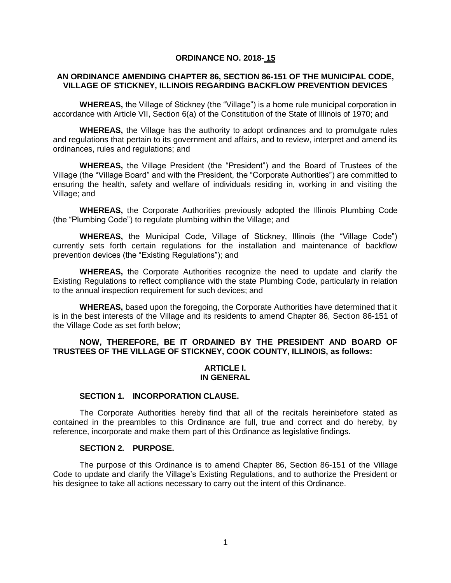#### **ORDINANCE NO. 2018- 15**

### **AN ORDINANCE AMENDING CHAPTER 86, SECTION 86-151 OF THE MUNICIPAL CODE, VILLAGE OF STICKNEY, ILLINOIS REGARDING BACKFLOW PREVENTION DEVICES**

**WHEREAS,** the Village of Stickney (the "Village") is a home rule municipal corporation in accordance with Article VII, Section 6(a) of the Constitution of the State of Illinois of 1970; and

**WHEREAS,** the Village has the authority to adopt ordinances and to promulgate rules and regulations that pertain to its government and affairs, and to review, interpret and amend its ordinances, rules and regulations; and

**WHEREAS,** the Village President (the "President") and the Board of Trustees of the Village (the "Village Board" and with the President, the "Corporate Authorities") are committed to ensuring the health, safety and welfare of individuals residing in, working in and visiting the Village; and

**WHEREAS,** the Corporate Authorities previously adopted the Illinois Plumbing Code (the "Plumbing Code") to regulate plumbing within the Village; and

**WHEREAS,** the Municipal Code, Village of Stickney, Illinois (the "Village Code") currently sets forth certain regulations for the installation and maintenance of backflow prevention devices (the "Existing Regulations"); and

**WHEREAS,** the Corporate Authorities recognize the need to update and clarify the Existing Regulations to reflect compliance with the state Plumbing Code, particularly in relation to the annual inspection requirement for such devices; and

**WHEREAS,** based upon the foregoing, the Corporate Authorities have determined that it is in the best interests of the Village and its residents to amend Chapter 86, Section 86-151 of the Village Code as set forth below;

# **NOW, THEREFORE, BE IT ORDAINED BY THE PRESIDENT AND BOARD OF TRUSTEES OF THE VILLAGE OF STICKNEY, COOK COUNTY, ILLINOIS, as follows:**

# **ARTICLE I. IN GENERAL**

#### **SECTION 1. INCORPORATION CLAUSE.**

The Corporate Authorities hereby find that all of the recitals hereinbefore stated as contained in the preambles to this Ordinance are full, true and correct and do hereby, by reference, incorporate and make them part of this Ordinance as legislative findings.

#### **SECTION 2. PURPOSE.**

The purpose of this Ordinance is to amend Chapter 86, Section 86-151 of the Village Code to update and clarify the Village's Existing Regulations, and to authorize the President or his designee to take all actions necessary to carry out the intent of this Ordinance.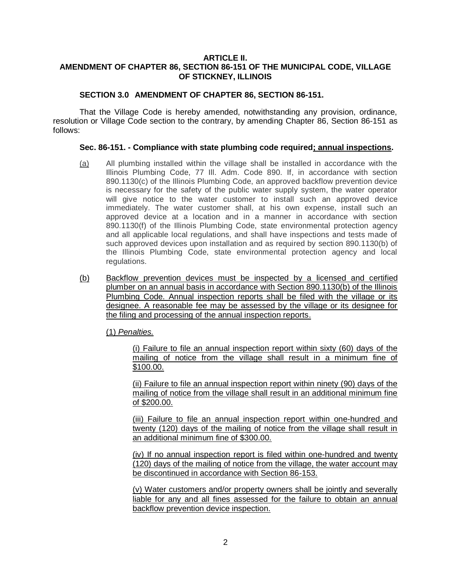# **ARTICLE II. AMENDMENT OF CHAPTER 86, SECTION 86-151 OF THE MUNICIPAL CODE, VILLAGE OF STICKNEY, ILLINOIS**

# **SECTION 3.0 AMENDMENT OF CHAPTER 86, SECTION 86-151.**

That the Village Code is hereby amended, notwithstanding any provision, ordinance, resolution or Village Code section to the contrary, by amending Chapter 86, Section 86-151 as follows:

### **Sec. 86-151. - Compliance with state plumbing code required; annual inspections.**

- (a) All plumbing installed within the village shall be installed in accordance with the Illinois Plumbing Code, 77 Ill. Adm. Code 890. If, in accordance with section 890.1130(c) of the Illinois Plumbing Code, an approved backflow prevention device is necessary for the safety of the public water supply system, the water operator will give notice to the water customer to install such an approved device immediately. The water customer shall, at his own expense, install such an approved device at a location and in a manner in accordance with section 890.1130(f) of the Illinois Plumbing Code, state environmental protection agency and all applicable local regulations, and shall have inspections and tests made of such approved devices upon installation and as required by section 890.1130(b) of the Illinois Plumbing Code, state environmental protection agency and local regulations.
- (b) Backflow prevention devices must be inspected by a licensed and certified plumber on an annual basis in accordance with Section 890.1130(b) of the Illinois Plumbing Code. Annual inspection reports shall be filed with the village or its designee. A reasonable fee may be assessed by the village or its designee for the filing and processing of the annual inspection reports.

(1) *Penalties.*

(i) Failure to file an annual inspection report within sixty (60) days of the mailing of notice from the village shall result in a minimum fine of \$100.00.

(ii) Failure to file an annual inspection report within ninety (90) days of the mailing of notice from the village shall result in an additional minimum fine of \$200.00.

(iii) Failure to file an annual inspection report within one-hundred and twenty (120) days of the mailing of notice from the village shall result in an additional minimum fine of \$300.00.

(iv) If no annual inspection report is filed within one-hundred and twenty (120) days of the mailing of notice from the village, the water account may be discontinued in accordance with Section 86-153.

(v) Water customers and/or property owners shall be jointly and severally liable for any and all fines assessed for the failure to obtain an annual backflow prevention device inspection.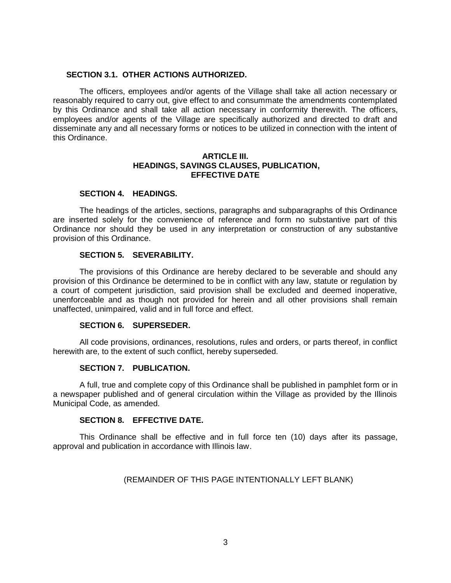#### **SECTION 3.1. OTHER ACTIONS AUTHORIZED.**

The officers, employees and/or agents of the Village shall take all action necessary or reasonably required to carry out, give effect to and consummate the amendments contemplated by this Ordinance and shall take all action necessary in conformity therewith. The officers, employees and/or agents of the Village are specifically authorized and directed to draft and disseminate any and all necessary forms or notices to be utilized in connection with the intent of this Ordinance.

### **ARTICLE III. HEADINGS, SAVINGS CLAUSES, PUBLICATION, EFFECTIVE DATE**

# **SECTION 4. HEADINGS.**

The headings of the articles, sections, paragraphs and subparagraphs of this Ordinance are inserted solely for the convenience of reference and form no substantive part of this Ordinance nor should they be used in any interpretation or construction of any substantive provision of this Ordinance.

# **SECTION 5. SEVERABILITY.**

The provisions of this Ordinance are hereby declared to be severable and should any provision of this Ordinance be determined to be in conflict with any law, statute or regulation by a court of competent jurisdiction, said provision shall be excluded and deemed inoperative, unenforceable and as though not provided for herein and all other provisions shall remain unaffected, unimpaired, valid and in full force and effect.

### **SECTION 6. SUPERSEDER.**

All code provisions, ordinances, resolutions, rules and orders, or parts thereof, in conflict herewith are, to the extent of such conflict, hereby superseded.

### **SECTION 7. PUBLICATION.**

A full, true and complete copy of this Ordinance shall be published in pamphlet form or in a newspaper published and of general circulation within the Village as provided by the Illinois Municipal Code, as amended.

### **SECTION 8. EFFECTIVE DATE.**

This Ordinance shall be effective and in full force ten (10) days after its passage, approval and publication in accordance with Illinois law.

### (REMAINDER OF THIS PAGE INTENTIONALLY LEFT BLANK)